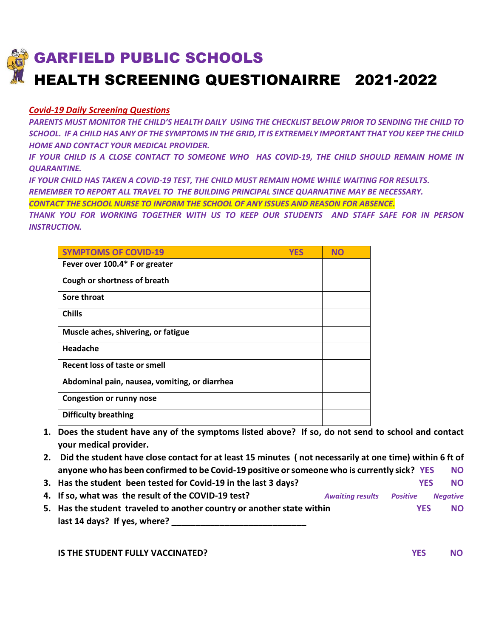## GARFIELD PUBLIC SCHOOLS HEALTH SCREENING QUESTIONAIRRE 2021-2022

## *Covid-19 Daily Screening Questions*

*PARENTS MUST MONITOR THE CHILD'S HEALTH DAILY USING THE CHECKLIST BELOW PRIOR TO SENDING THE CHILD TO SCHOOL. IF A CHILD HAS ANY OF THE SYMPTOMS IN THE GRID, IT IS EXTREMELY IMPORTANT THAT YOU KEEP THE CHILD HOME AND CONTACT YOUR MEDICAL PROVIDER.* 

*IF YOUR CHILD IS A CLOSE CONTACT TO SOMEONE WHO HAS COVID-19, THE CHILD SHOULD REMAIN HOME IN QUARANTINE.* 

*IF YOUR CHILD HAS TAKEN A COVID-19 TEST, THE CHILD MUST REMAIN HOME WHILE WAITING FOR RESULTS. REMEMBER TO REPORT ALL TRAVEL TO THE BUILDING PRINCIPAL SINCE QUARNATINE MAY BE NECESSARY.*

*CONTACT THE SCHOOL NURSE TO INFORM THE SCHOOL OF ANY ISSUES AND REASON FOR ABSENCE.*

*THANK YOU FOR WORKING TOGETHER WITH US TO KEEP OUR STUDENTS AND STAFF SAFE FOR IN PERSON INSTRUCTION.*

| <b>SYMPTOMS OF COVID-19</b>                   | <b>YES</b> | <b>NO</b> |
|-----------------------------------------------|------------|-----------|
| Fever over 100.4* F or greater                |            |           |
| Cough or shortness of breath                  |            |           |
| Sore throat                                   |            |           |
| <b>Chills</b>                                 |            |           |
| Muscle aches, shivering, or fatigue           |            |           |
| Headache                                      |            |           |
| Recent loss of taste or smell                 |            |           |
| Abdominal pain, nausea, vomiting, or diarrhea |            |           |
| <b>Congestion or runny nose</b>               |            |           |
| <b>Difficulty breathing</b>                   |            |           |

- **1. Does the student have any of the symptoms listed above? If so, do not send to school and contact your medical provider.**
- **2. Did the student have close contact for at least 15 minutes ( not necessarily at one time) within 6 ft of anyone who has been confirmed to be Covid-19 positive or someone who is currently sick? YES NO**
- **3. Has the student been tested for Covid-19 in the last 3 days? YES NO 4. If so, what was the result of the COVID-19 test?** *Awaiting results Positive Negative*
- **5. Has the student traveled to another country or another state within YES NO last 14 days? If yes, where? \_\_\_\_\_\_\_\_\_\_\_\_\_\_\_\_\_\_\_\_\_\_\_\_\_\_\_\_**

**IS THE STUDENT FULLY VACCINATED?** And the state of the state of the state of the state of the state of the state of the state of the state of the state of the state of the state of the state of the state of the state of t